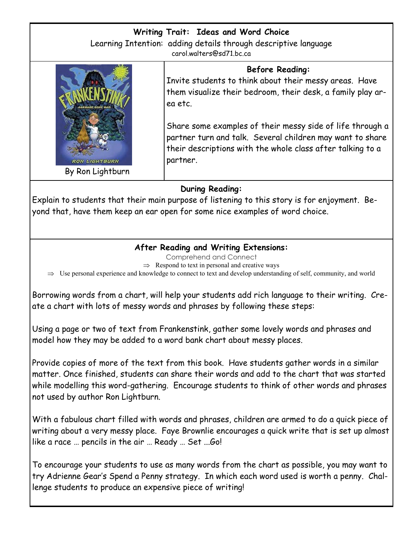#### **Writing Trait: Ideas and Word Choice** Learning Intention: adding details through descriptive language carol.walters@sd71.bc.ca

ea etc.



**Before Reading:** Invite students to think about their messy areas. Have them visualize their bedroom, their desk, a family play ar-

Share some examples of their messy side of life through a partner turn and talk. Several children may want to share their descriptions with the whole class after talking to a partner.

### **During Reading:**

Explain to students that their main purpose of listening to this story is for enjoyment. Beyond that, have them keep an ear open for some nice examples of word choice.

### **After Reading and Writing Extensions:**

Comprehend and Connect

 $\Rightarrow$  Respond to text in personal and creative ways

 $\Rightarrow$  Use personal experience and knowledge to connect to text and develop understanding of self, community, and world

Borrowing words from a chart, will help your students add rich language to their writing. Create a chart with lots of messy words and phrases by following these steps:

Using a page or two of text from Frankenstink, gather some lovely words and phrases and model how they may be added to a word bank chart about messy places.

Provide copies of more of the text from this book. Have students gather words in a similar matter. Once finished, students can share their words and add to the chart that was started while modelling this word-gathering. Encourage students to think of other words and phrases not used by author Ron Lightburn.

With a fabulous chart filled with words and phrases, children are armed to do a quick piece of writing about a very messy place. Faye Brownlie encourages a quick write that is set up almost like a race … pencils in the air … Ready … Set ...Go!

To encourage your students to use as many words from the chart as possible, you may want to try Adrienne Gear's Spend a Penny strategy. In which each word used is worth a penny. Challenge students to produce an expensive piece of writing!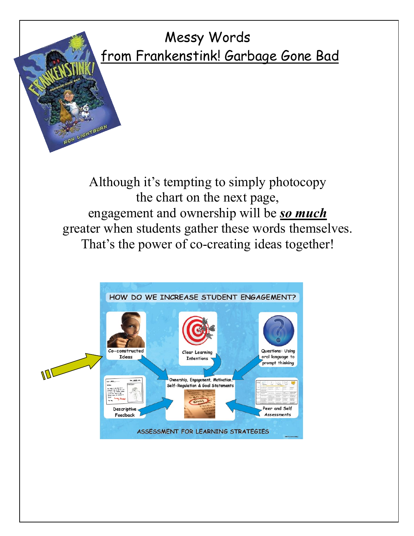## Messy Words from Frankenstink! Garbage Gone Bad

Although it's tempting to simply photocopy the chart on the next page, engagement and ownership will be *so much* greater when students gather these words themselves. That's the power of co-creating ideas together!

N LIGHTEURN